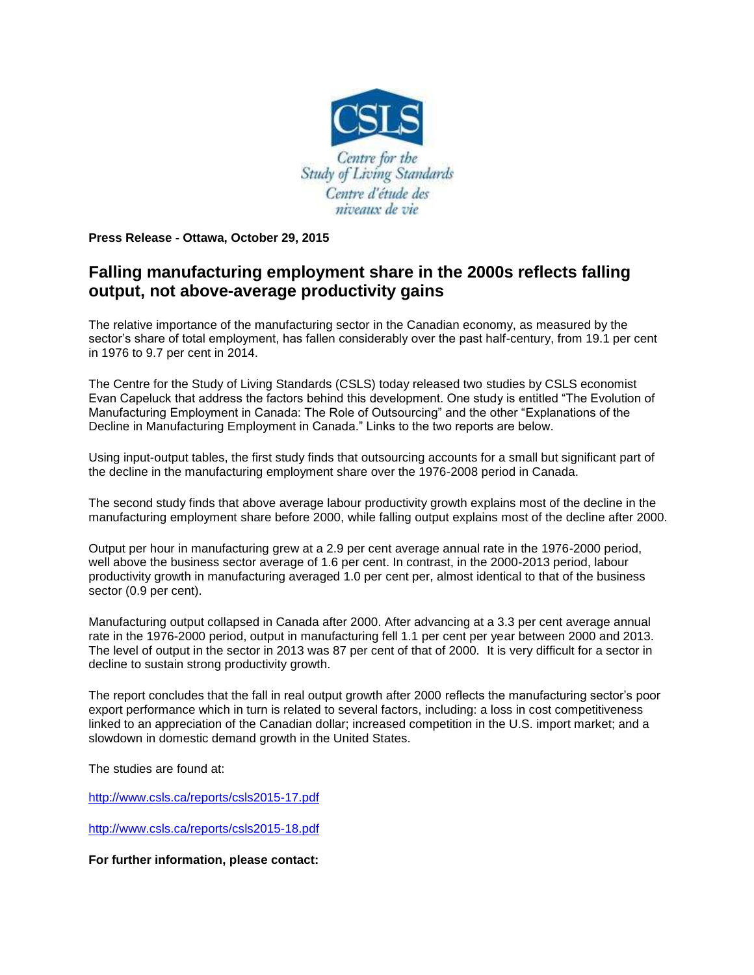

**Press Release - Ottawa, October 29, 2015**

## **Falling manufacturing employment share in the 2000s reflects falling output, not above-average productivity gains**

The relative importance of the manufacturing sector in the Canadian economy, as measured by the sector's share of total employment, has fallen considerably over the past half-century, from 19.1 per cent in 1976 to 9.7 per cent in 2014.

The Centre for the Study of Living Standards (CSLS) today released two studies by CSLS economist Evan Capeluck that address the factors behind this development. One study is entitled "The Evolution of Manufacturing Employment in Canada: The Role of Outsourcing" and the other "Explanations of the Decline in Manufacturing Employment in Canada." Links to the two reports are below.

Using input-output tables, the first study finds that outsourcing accounts for a small but significant part of the decline in the manufacturing employment share over the 1976-2008 period in Canada.

The second study finds that above average labour productivity growth explains most of the decline in the manufacturing employment share before 2000, while falling output explains most of the decline after 2000.

Output per hour in manufacturing grew at a 2.9 per cent average annual rate in the 1976-2000 period, well above the business sector average of 1.6 per cent. In contrast, in the 2000-2013 period, labour productivity growth in manufacturing averaged 1.0 per cent per, almost identical to that of the business sector (0.9 per cent).

Manufacturing output collapsed in Canada after 2000. After advancing at a 3.3 per cent average annual rate in the 1976-2000 period, output in manufacturing fell 1.1 per cent per year between 2000 and 2013. The level of output in the sector in 2013 was 87 per cent of that of 2000. It is very difficult for a sector in decline to sustain strong productivity growth.

The report concludes that the fall in real output growth after 2000 reflects the manufacturing sector's poor export performance which in turn is related to several factors, including: a loss in cost competitiveness linked to an appreciation of the Canadian dollar; increased competition in the U.S. import market; and a slowdown in domestic demand growth in the United States.

The studies are found at:

<http://www.csls.ca/reports/csls2015-17.pdf>

<http://www.csls.ca/reports/csls2015-18.pdf>

**For further information, please contact:**